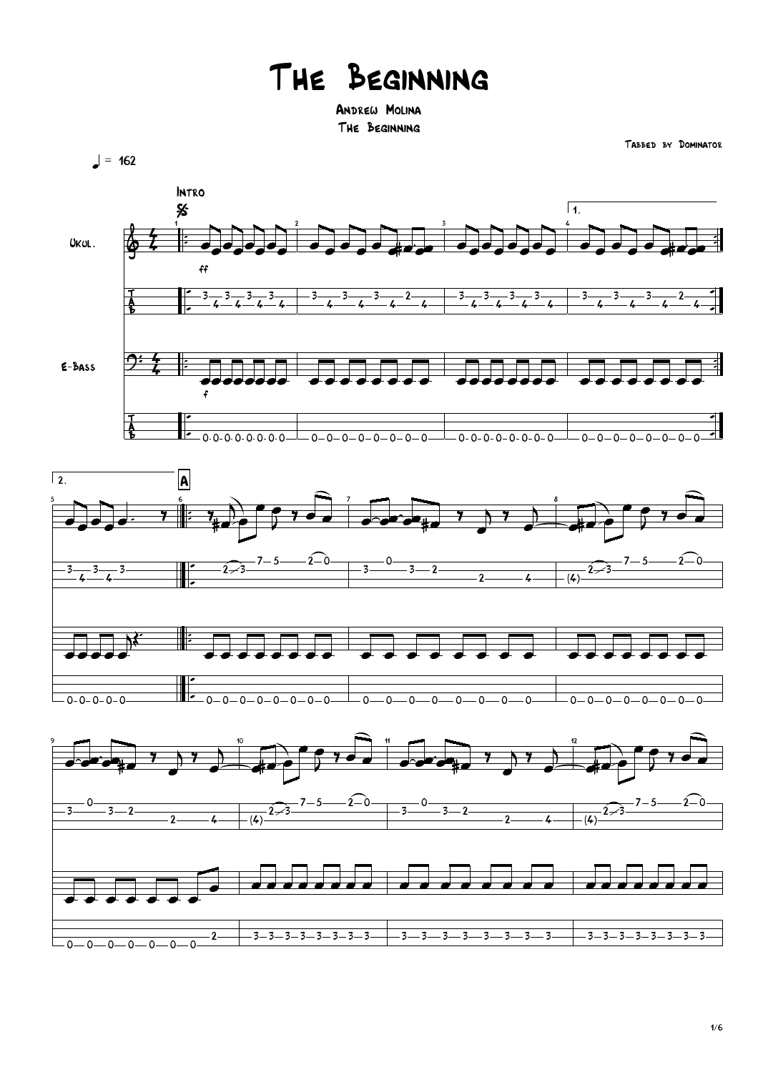## The Beginning

Andrew Molina The Beginning

 $= 162$ 







Tabbed by Dominator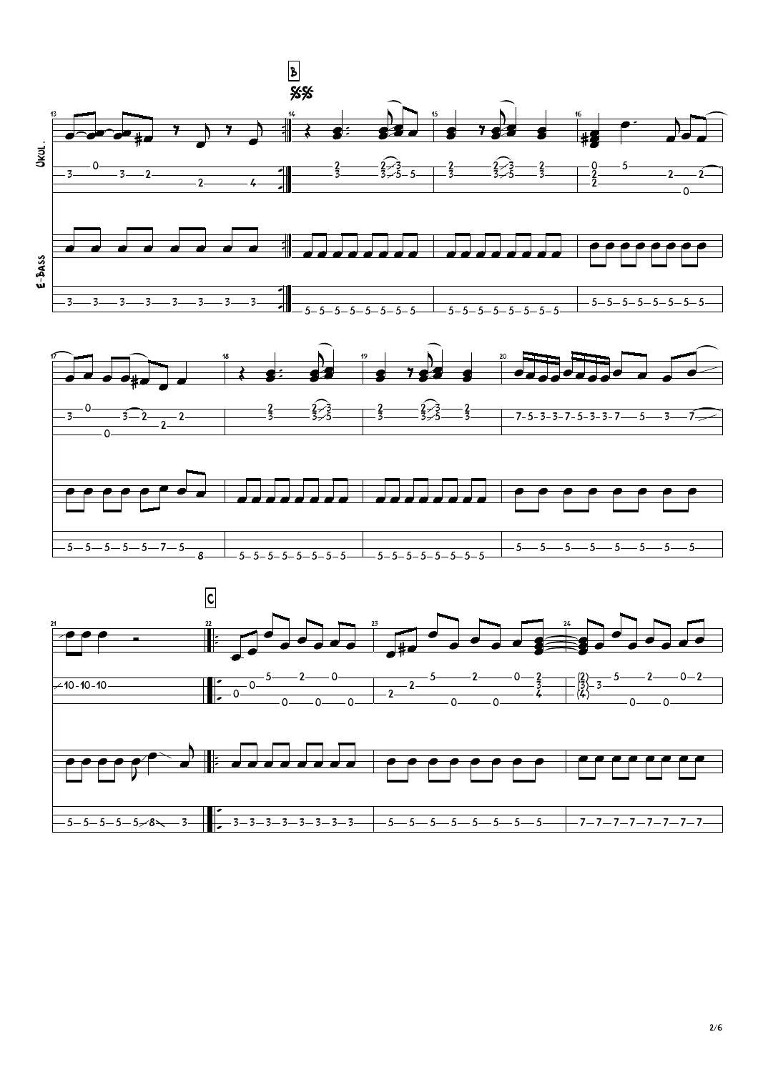

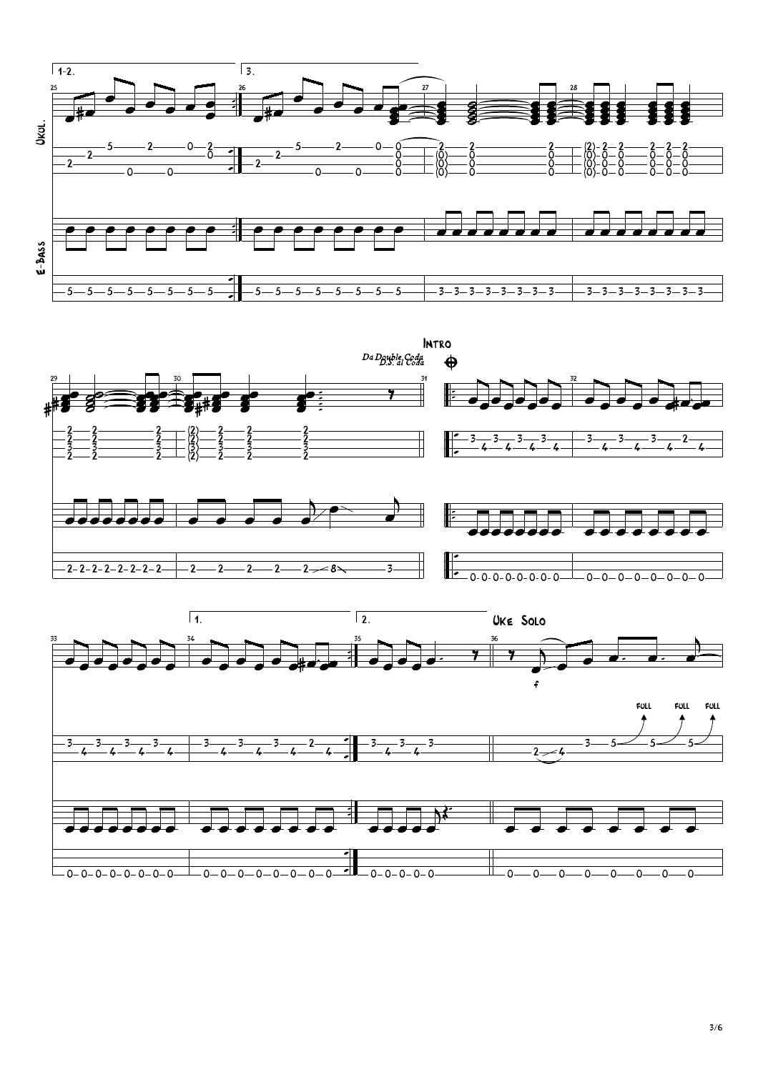



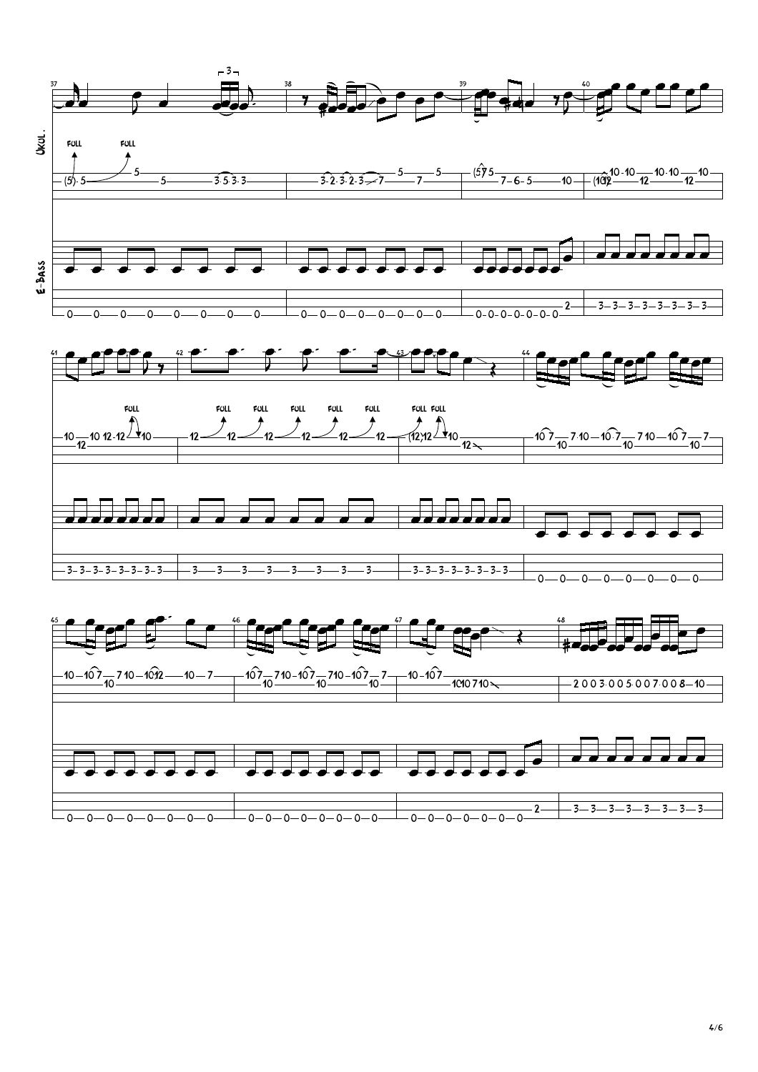

4/6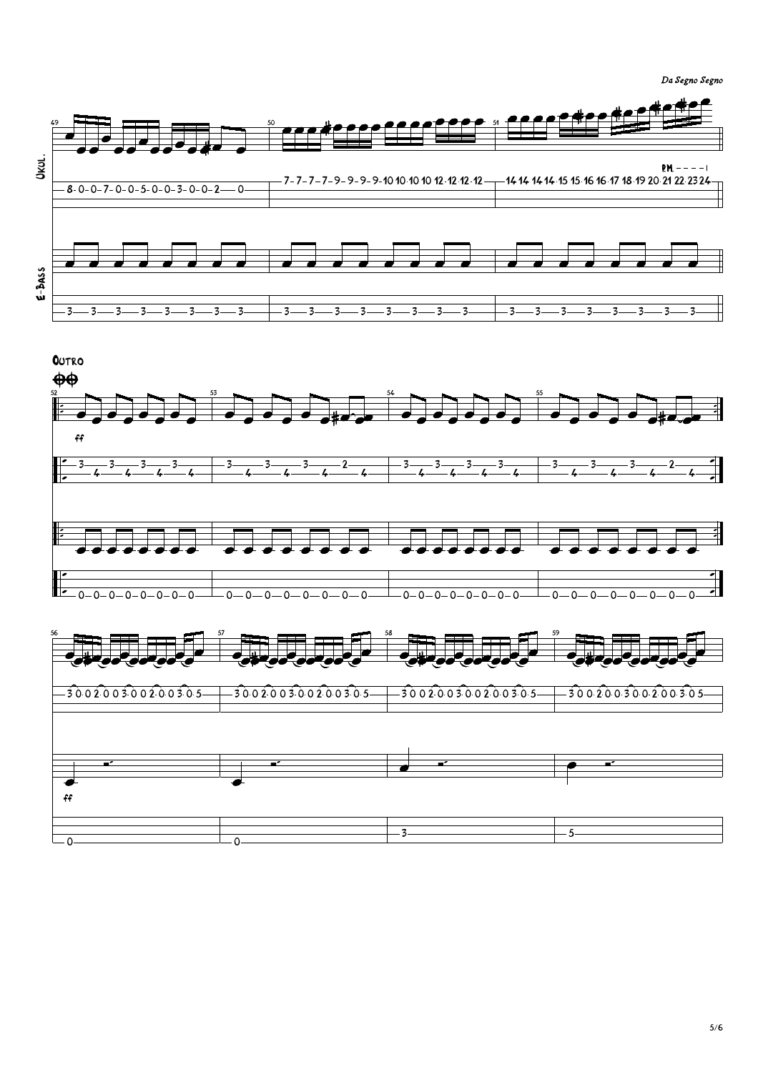```
Da Segno Segno
```